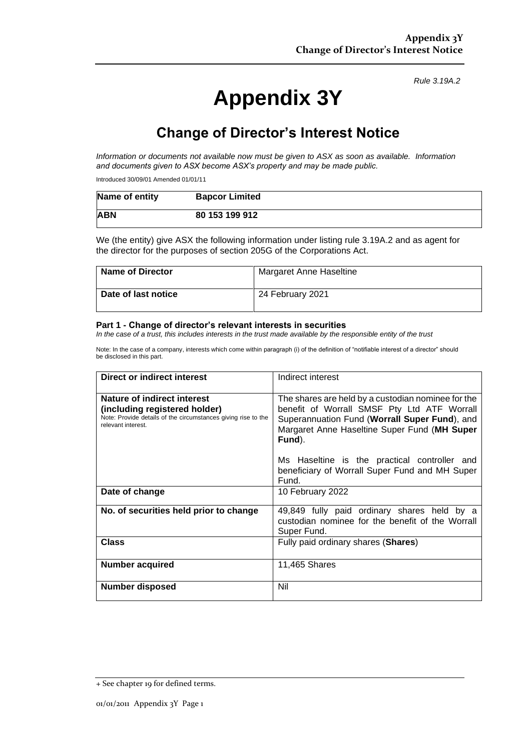*Rule 3.19A.2*

# **Appendix 3Y**

# **Change of Director's Interest Notice**

*Information or documents not available now must be given to ASX as soon as available. Information and documents given to ASX become ASX's property and may be made public.*

Introduced 30/09/01 Amended 01/01/11

| Name of entity | <b>Bapcor Limited</b> |
|----------------|-----------------------|
| <b>ABN</b>     | 80 153 199 912        |

We (the entity) give ASX the following information under listing rule 3.19A.2 and as agent for the director for the purposes of section 205G of the Corporations Act.

| <b>Name of Director</b> | Margaret Anne Haseltine |
|-------------------------|-------------------------|
| Date of last notice     | 24 February 2021        |

#### **Part 1 - Change of director's relevant interests in securities**

*In the case of a trust, this includes interests in the trust made available by the responsible entity of the trust*

Note: In the case of a company, interests which come within paragraph (i) of the definition of "notifiable interest of a director" should be disclosed in this part.

| Direct or indirect interest                                                                                                                         | Indirect interest                                                                                                                                                                                                                                                                                                       |  |
|-----------------------------------------------------------------------------------------------------------------------------------------------------|-------------------------------------------------------------------------------------------------------------------------------------------------------------------------------------------------------------------------------------------------------------------------------------------------------------------------|--|
| Nature of indirect interest<br>(including registered holder)<br>Note: Provide details of the circumstances giving rise to the<br>relevant interest. | The shares are held by a custodian nominee for the<br>benefit of Worrall SMSF Pty Ltd ATF Worrall<br>Superannuation Fund (Worrall Super Fund), and<br>Margaret Anne Haseltine Super Fund (MH Super<br>Fund).<br>Ms Haseltine is the practical controller and<br>beneficiary of Worrall Super Fund and MH Super<br>Fund. |  |
| Date of change                                                                                                                                      | 10 February 2022                                                                                                                                                                                                                                                                                                        |  |
| No. of securities held prior to change                                                                                                              | 49,849 fully paid ordinary shares held by a<br>custodian nominee for the benefit of the Worrall<br>Super Fund.                                                                                                                                                                                                          |  |
| <b>Class</b>                                                                                                                                        | Fully paid ordinary shares (Shares)                                                                                                                                                                                                                                                                                     |  |
| <b>Number acquired</b>                                                                                                                              | 11,465 Shares                                                                                                                                                                                                                                                                                                           |  |
| Number disposed                                                                                                                                     | Nil                                                                                                                                                                                                                                                                                                                     |  |

<sup>+</sup> See chapter 19 for defined terms.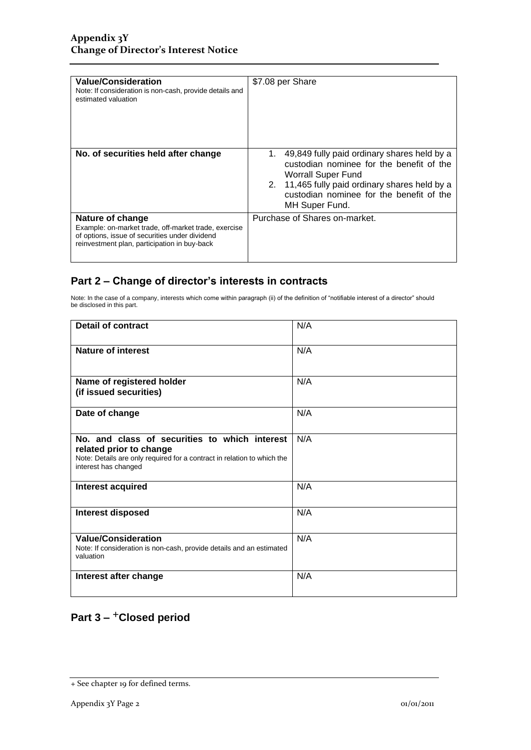| <b>Value/Consideration</b><br>Note: If consideration is non-cash, provide details and<br>estimated valuation                                                               | \$7.08 per Share                                                                                                                                                                                                                 |
|----------------------------------------------------------------------------------------------------------------------------------------------------------------------------|----------------------------------------------------------------------------------------------------------------------------------------------------------------------------------------------------------------------------------|
| No. of securities held after change                                                                                                                                        | 1. 49,849 fully paid ordinary shares held by a<br>custodian nominee for the benefit of the<br>Worrall Super Fund<br>2. 11,465 fully paid ordinary shares held by a<br>custodian nominee for the benefit of the<br>MH Super Fund. |
| Nature of change<br>Example: on-market trade, off-market trade, exercise<br>of options, issue of securities under dividend<br>reinvestment plan, participation in buy-back | Purchase of Shares on-market.                                                                                                                                                                                                    |

### **Part 2 – Change of director's interests in contracts**

Note: In the case of a company, interests which come within paragraph (ii) of the definition of "notifiable interest of a director" should be disclosed in this part.

| <b>Detail of contract</b>                                                                                                                                                   | N/A |
|-----------------------------------------------------------------------------------------------------------------------------------------------------------------------------|-----|
| Nature of interest                                                                                                                                                          | N/A |
| Name of registered holder<br>(if issued securities)                                                                                                                         | N/A |
| Date of change                                                                                                                                                              | N/A |
| No, and class of securities to which interest<br>related prior to change<br>Note: Details are only required for a contract in relation to which the<br>interest has changed | N/A |
| Interest acquired                                                                                                                                                           | N/A |
| <b>Interest disposed</b>                                                                                                                                                    | N/A |
| <b>Value/Consideration</b><br>Note: If consideration is non-cash, provide details and an estimated<br>valuation                                                             | N/A |
| Interest after change                                                                                                                                                       | N/A |

## **Part 3 –** +**Closed period**

<sup>+</sup> See chapter 19 for defined terms.